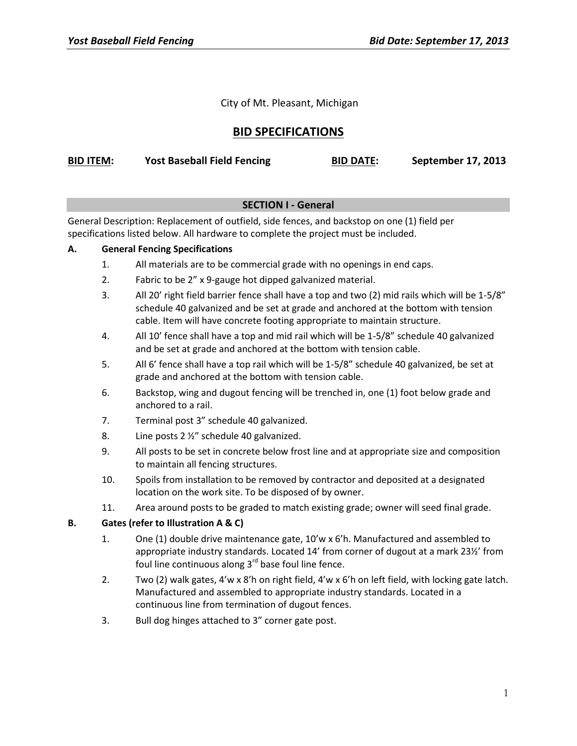City of Mt. Pleasant, Michigan

# **BID SPECIFICATIONS**

| <b>BID ITEM:</b> | <b>Yost Baseball Field Fencing</b> | <b>BID DATE:</b> | <b>September 17, 2013</b> |
|------------------|------------------------------------|------------------|---------------------------|
|------------------|------------------------------------|------------------|---------------------------|

## **SECTION I - General**

General Description: Replacement of outfield, side fences, and backstop on one (1) field per specifications listed below. All hardware to complete the project must be included.

#### **A. General Fencing Specifications**

- 1. All materials are to be commercial grade with no openings in end caps.
- 2. Fabric to be 2" x 9-gauge hot dipped galvanized material.
- 3. All 20' right field barrier fence shall have a top and two (2) mid rails which will be 1-5/8" schedule 40 galvanized and be set at grade and anchored at the bottom with tension cable. Item will have concrete footing appropriate to maintain structure.
- 4. All 10' fence shall have a top and mid rail which will be 1-5/8" schedule 40 galvanized and be set at grade and anchored at the bottom with tension cable.
- 5. All 6' fence shall have a top rail which will be 1-5/8" schedule 40 galvanized, be set at grade and anchored at the bottom with tension cable.
- 6. Backstop, wing and dugout fencing will be trenched in, one (1) foot below grade and anchored to a rail.
- 7. Terminal post 3" schedule 40 galvanized.
- 8. Line posts 2 ½" schedule 40 galvanized.
- 9. All posts to be set in concrete below frost line and at appropriate size and composition to maintain all fencing structures.
- 10. Spoils from installation to be removed by contractor and deposited at a designated location on the work site. To be disposed of by owner.
- 11. Area around posts to be graded to match existing grade; owner will seed final grade.

#### **B. Gates (refer to Illustration A & C)**

- 1. One (1) double drive maintenance gate, 10'w x 6'h. Manufactured and assembled to appropriate industry standards. Located 14' from corner of dugout at a mark 23½' from foul line continuous along  $3<sup>rd</sup>$  base foul line fence.
- 2. Two (2) walk gates, 4'w x 8'h on right field, 4'w x 6'h on left field, with locking gate latch. Manufactured and assembled to appropriate industry standards. Located in a continuous line from termination of dugout fences.
- 3. Bull dog hinges attached to 3" corner gate post.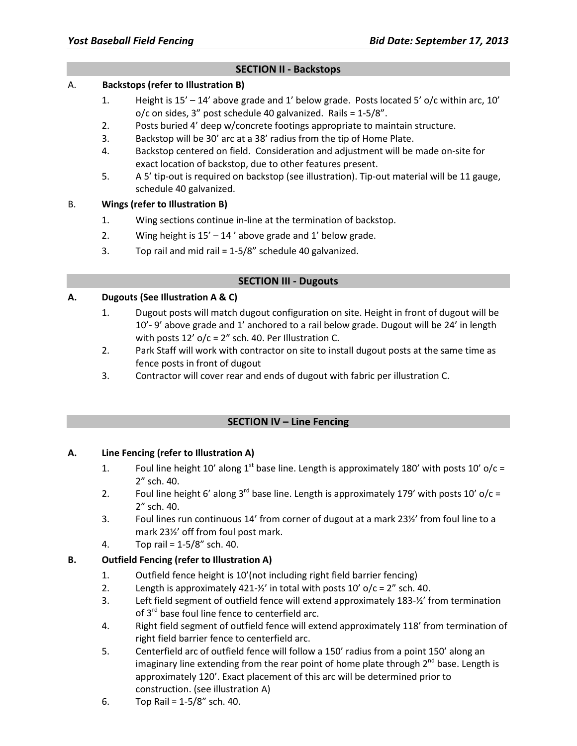### **SECTION II - Backstops**

#### A. **Backstops (refer to Illustration B)**

- 1. Height is 15' 14' above grade and 1' below grade. Posts located 5' o/c within arc, 10'  $o/c$  on sides, 3" post schedule 40 galvanized. Rails =  $1-5/8$ ".
- 2. Posts buried 4' deep w/concrete footings appropriate to maintain structure.
- 3. Backstop will be 30' arc at a 38' radius from the tip of Home Plate.
- 4. Backstop centered on field. Consideration and adjustment will be made on-site for exact location of backstop, due to other features present.
- 5. A 5' tip-out is required on backstop (see illustration). Tip-out material will be 11 gauge, schedule 40 galvanized.

#### B. **Wings (refer to Illustration B)**

- 1. Wing sections continue in-line at the termination of backstop.
- 2. Wing height is  $15' 14'$  above grade and 1' below grade.
- 3. Top rail and mid rail = 1-5/8" schedule 40 galvanized.

#### **SECTION III - Dugouts**

#### **A. Dugouts (See Illustration A & C)**

- 1. Dugout posts will match dugout configuration on site. Height in front of dugout will be 10'- 9' above grade and 1' anchored to a rail below grade. Dugout will be 24' in length with posts  $12'$  o/c = 2" sch. 40. Per Illustration C.
- 2. Park Staff will work with contractor on site to install dugout posts at the same time as fence posts in front of dugout
- 3. Contractor will cover rear and ends of dugout with fabric per illustration C.

## **SECTION IV – Line Fencing**

#### **A. Line Fencing (refer to Illustration A)**

- 1. Foul line height 10' along 1<sup>st</sup> base line. Length is approximately 180' with posts 10'  $o/c =$ 2" sch. 40.
- 2. Foul line height 6' along 3<sup>rd</sup> base line. Length is approximately 179' with posts 10'  $o/c =$ 2" sch. 40.
- 3. Foul lines run continuous 14' from corner of dugout at a mark 23½' from foul line to a mark 23½' off from foul post mark.
- 4. Top rail = 1-5/8" sch. 40.

## **B. Outfield Fencing (refer to Illustration A)**

- 1. Outfield fence height is 10'(not including right field barrier fencing)
- 2. Length is approximately 421- $\frac{1}{2}$  in total with posts 10' o/c = 2" sch. 40.
- 3. Left field segment of outfield fence will extend approximately 183-½' from termination of  $3^{rd}$  base foul line fence to centerfield arc.
- 4. Right field segment of outfield fence will extend approximately 118' from termination of right field barrier fence to centerfield arc.
- 5. Centerfield arc of outfield fence will follow a 150' radius from a point 150' along an imaginary line extending from the rear point of home plate through  $2^{nd}$  base. Length is approximately 120'. Exact placement of this arc will be determined prior to construction. (see illustration A)
- 6. Top Rail =  $1-5/8$ " sch. 40.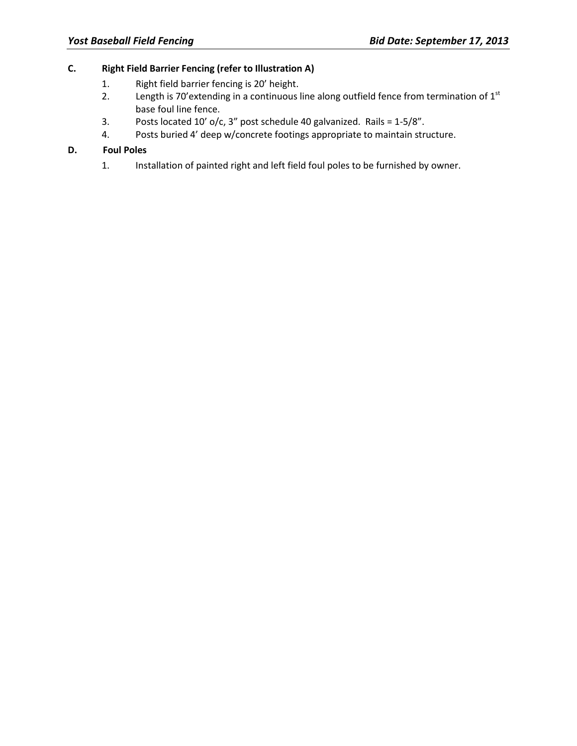## **C. Right Field Barrier Fencing (refer to Illustration A)**

- 1. Right field barrier fencing is 20' height.
- 2. Length is 70'extending in a continuous line along outfield fence from termination of  $1<sup>st</sup>$ base foul line fence.
- 3. Posts located 10' o/c, 3" post schedule 40 galvanized. Rails =  $1-5/8$ ".
- 4. Posts buried 4' deep w/concrete footings appropriate to maintain structure.

#### **D. Foul Poles**

1. Installation of painted right and left field foul poles to be furnished by owner.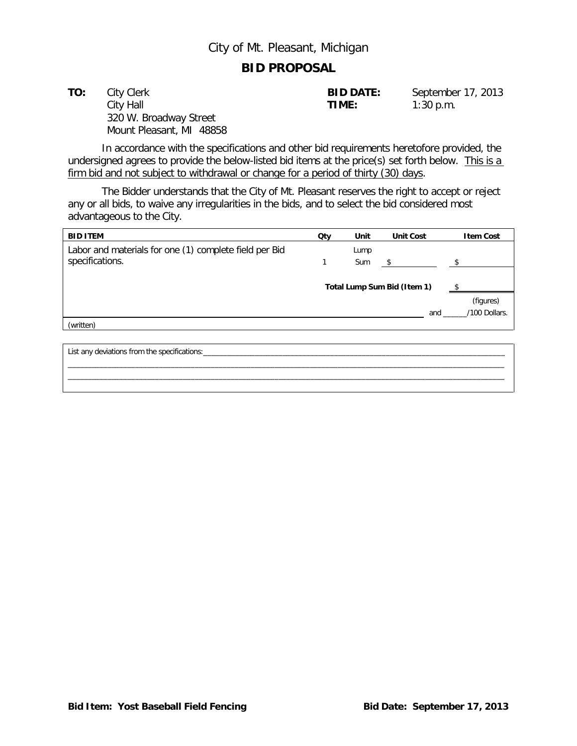# City of Mt. Pleasant, Michigan

## **BID PROPOSAL**

**TO:** City Clerk **BID DATE:** September 17, 2013 City Hall **TIME:** 1:30 p.m. 320 W. Broadway Street Mount Pleasant, MI 48858

In accordance with the specifications and other bid requirements heretofore provided, the undersigned agrees to provide the below-listed bid items at the price(s) set forth below. This is a firm bid and not subject to withdrawal or change for a period of thirty (30) days.

The Bidder understands that the City of Mt. Pleasant reserves the right to accept or reject any or all bids, to waive any irregularities in the bids, and to select the bid considered most advantageous to the City.

| <b>BID ITEM</b>                                        | Qty                         | Unit | <b>Unit Cost</b> | <b>Item Cost</b> |
|--------------------------------------------------------|-----------------------------|------|------------------|------------------|
| Labor and materials for one (1) complete field per Bid |                             | Lump |                  |                  |
| specifications.                                        |                             | Sum  | s.               |                  |
|                                                        |                             |      |                  |                  |
|                                                        | Total Lump Sum Bid (Item 1) |      |                  |                  |
|                                                        |                             |      |                  | (figures)        |
|                                                        |                             |      | and              | /100 Dollars.    |
| (written)                                              |                             |      |                  |                  |
|                                                        |                             |      |                  |                  |

\_\_\_\_\_\_\_\_\_\_\_\_\_\_\_\_\_\_\_\_\_\_\_\_\_\_\_\_\_\_\_\_\_\_\_\_\_\_\_\_\_\_\_\_\_\_\_\_\_\_\_\_\_\_\_\_\_\_\_\_\_\_\_\_\_\_\_\_\_\_\_\_\_\_\_\_\_\_\_\_\_\_\_\_\_\_\_\_\_\_\_\_\_\_\_\_\_\_\_\_\_\_\_\_\_\_\_\_\_\_

List any deviations from the specifications:\_\_\_\_\_\_\_\_\_\_\_\_\_\_\_\_\_\_\_\_\_\_\_\_\_\_\_\_\_\_\_\_\_\_\_\_\_\_\_\_\_\_\_\_\_\_\_\_\_\_\_\_\_\_\_\_\_\_\_\_\_\_\_\_\_\_\_\_\_\_\_\_\_\_\_\_